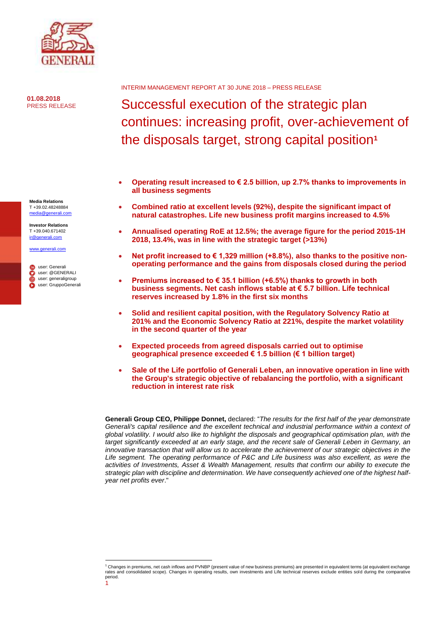

**01.08.2018** PRESS RELEASE

**Media Relations** T +39.02.48248884 [media@generali.com](mailto:media@generali.com) **Investor Relations** T +39.040.671402 [ir@generali.com](mailto:ir@generali.com) [www.generali.com](http://www.generali.com/)

user: Generali user:@GENERALI user: generaligroup user: GruppoGenerali INTERIM MANAGEMENT REPORT AT 30 JUNE 2018 – PRESS RELEASE

# Successful execution of the strategic plan continues: increasing profit, over-achievement of the disposals target, strong capital position**<sup>1</sup>**

- **Operating result increased to € 2.5 billion, up 2.7% thanks to improvements in all business segments**
- **Combined ratio at excellent levels (92%), despite the significant impact of natural catastrophes. Life new business profit margins increased to 4.5%**
- **Annualised operating RoE at 12.5%; the average figure for the period 2015-1H 2018, 13.4%, was in line with the strategic target (>13%)**
- **Net profit increased to € 1,329 million (+8.8%), also thanks to the positive nonoperating performance and the gains from disposals closed during the period**
- **Premiums increased to € 35.1 billion (+6.5%) thanks to growth in both business segments. Net cash inflows stable at € 5.7 billion. Life technical reserves increased by 1.8% in the first six months**
- **Solid and resilient capital position, with the Regulatory Solvency Ratio at 201% and the Economic Solvency Ratio at 221%, despite the market volatility in the second quarter of the year**
- **Expected proceeds from agreed disposals carried out to optimise geographical presence exceeded € 1.5 billion (€ 1 billion target)**
- **Sale of the Life portfolio of Generali Leben, an innovative operation in line with the Group's strategic objective of rebalancing the portfolio, with a significant reduction in interest rate risk**

**Generali Group CEO, Philippe Donnet,** declared: "*The results for the first half of the year demonstrate*  Generali's capital resilience and the excellent technical and industrial performance within a context of *global volatility. I would also like to highlight the disposals and geographical optimisation plan, with the target significantly exceeded at an early stage, and the recent sale of Generali Leben in Germany, an innovative transaction that will allow us to accelerate the achievement of our strategic objectives in the Life segment. The operating performance of P&C and Life business was also excellent, as were the activities of Investments, Asset & Wealth Management, results that confirm our ability to execute the strategic plan with discipline and determination. We have consequently achieved one of the highest halfyear net profits ever*."

<sup>1</sup> **.** <sup>1</sup> Changes in premiums, net cash inflows and PVNBP (present value of new business premiums) are presented in equivalent terms (at equivalent exchange rates and consolidated scope). Changes in operating results, own investments and Life technical reserves exclude entities sold during the comparative period.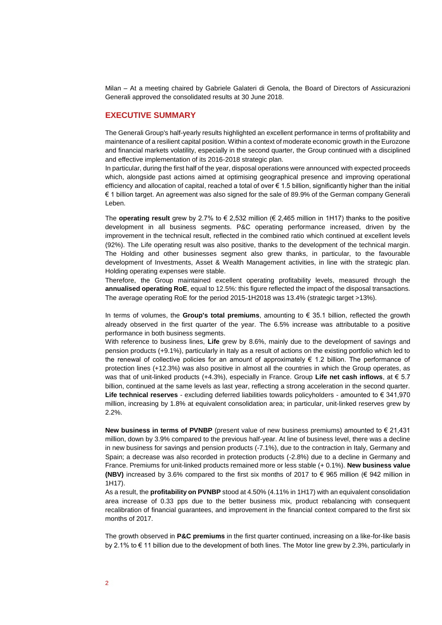Milan – At a meeting chaired by Gabriele Galateri di Genola, the Board of Directors of Assicurazioni Generali approved the consolidated results at 30 June 2018.

### **EXECUTIVE SUMMARY**

The Generali Group's half-yearly results highlighted an excellent performance in terms of profitability and maintenance of a resilient capital position. Within a context of moderate economic growth in the Eurozone and financial markets volatility, especially in the second quarter, the Group continued with a disciplined and effective implementation of its 2016-2018 strategic plan.

In particular, during the first half of the year, disposal operations were announced with expected proceeds which, alongside past actions aimed at optimising geographical presence and improving operational efficiency and allocation of capital, reached a total of over € 1.5 billion, significantly higher than the initial € 1 billion target. An agreement was also signed for the sale of 89.9% of the German company Generali Leben.

The **operating result** grew by 2.7% to € 2,532 million (€ 2,465 million in 1H17) thanks to the positive development in all business segments. P&C operating performance increased, driven by the improvement in the technical result, reflected in the combined ratio which continued at excellent levels (92%). The Life operating result was also positive, thanks to the development of the technical margin. The Holding and other businesses segment also grew thanks, in particular, to the favourable development of Investments, Asset & Wealth Management activities, in line with the strategic plan. Holding operating expenses were stable.

Therefore, the Group maintained excellent operating profitability levels, measured through the **annualised operating RoE**, equal to 12.5%: this figure reflected the impact of the disposal transactions. The average operating RoE for the period 2015-1H2018 was 13.4% (strategic target >13%).

In terms of volumes, the **Group's total premiums**, amounting to € 35.1 billion, reflected the growth already observed in the first quarter of the year. The 6.5% increase was attributable to a positive performance in both business segments.

With reference to business lines, **Life** grew by 8.6%, mainly due to the development of savings and pension products (+9.1%), particularly in Italy as a result of actions on the existing portfolio which led to the renewal of collective policies for an amount of approximately € 1.2 billion. The performance of protection lines (+12.3%) was also positive in almost all the countries in which the Group operates, as was that of unit-linked products (+4.3%), especially in France. Group **Life net cash inflows**, at € 5.7 billion, continued at the same levels as last year, reflecting a strong acceleration in the second quarter. **Life technical reserves** - excluding deferred liabilities towards policyholders - amounted to € 341,970 million, increasing by 1.8% at equivalent consolidation area; in particular, unit-linked reserves grew by 2.2%.

**New business in terms of PVNBP** (present value of new business premiums) amounted to € 21,431 million, down by 3.9% compared to the previous half-year. At line of business level, there was a decline in new business for savings and pension products (-7.1%), due to the contraction in Italy, Germany and Spain; a decrease was also recorded in protection products (-2.8%) due to a decline in Germany and France. Premiums for unit-linked products remained more or less stable (+ 0.1%). **New business value (NBV)** increased by 3.6% compared to the first six months of 2017 to € 965 million (€ 942 million in 1H17).

As a result, the **profitability on PVNBP** stood at 4.50% (4.11% in 1H17) with an equivalent consolidation area increase of 0.33 pps due to the better business mix, product rebalancing with consequent recalibration of financial guarantees, and improvement in the financial context compared to the first six months of 2017.

The growth observed in **P&C premiums** in the first quarter continued, increasing on a like-for-like basis by 2.1% to € 11 billion due to the development of both lines. The Motor line grew by 2.3%, particularly in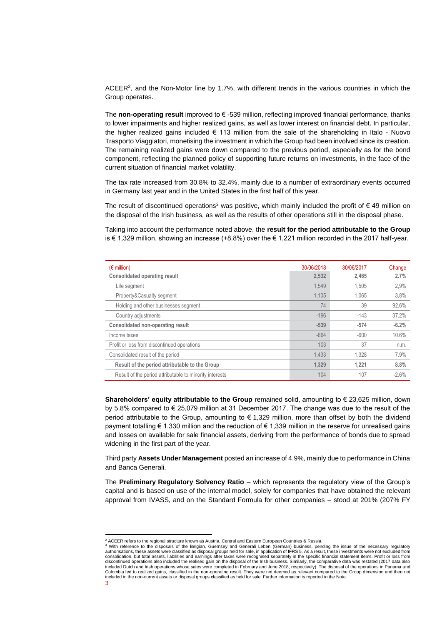ACEER<sup>2</sup>, and the Non-Motor line by 1.7%, with different trends in the various countries in which the Group operates.

The **non-operating result** improved to € -539 million, reflecting improved financial performance, thanks to lower impairments and higher realized gains, as well as lower interest on financial debt. In particular, the higher realized gains included € 113 million from the sale of the shareholding in Italo - Nuovo Trasporto Viaggiatori, monetising the investment in which the Group had been involved since its creation. The remaining realized gains were down compared to the previous period, especially as for the bond component, reflecting the planned policy of supporting future returns on investments, in the face of the current situation of financial market volatility.

The tax rate increased from 30.8% to 32.4%, mainly due to a number of extraordinary events occurred in Germany last year and in the United States in the first half of this year.

The result of discontinued operations<sup>3</sup> was positive, which mainly included the profit of  $\epsilon$  49 million on the disposal of the Irish business, as well as the results of other operations still in the disposal phase.

Taking into account the performance noted above, the **result for the period attributable to the Group** is € 1,329 million, showing an increase (+8.8%) over the € 1,221 million recorded in the 2017 half-year.

| $(\epsilon$ million)                                    | 30/06/2018 | 30/06/2017 | Change  |
|---------------------------------------------------------|------------|------------|---------|
| <b>Consolidated operating result</b>                    | 2.532      | 2.465      | 2.7%    |
| Life segment                                            | 1,549      | 1.505      | 2,9%    |
| Property&Casualty segment                               | 1.105      | 1.065      | 3,8%    |
| Holding and other businesses segment                    | 74         | 39         | 92,6%   |
| Country adjustments                                     | $-196$     | $-143$     | 37,2%   |
| <b>Consolidated non-operating result</b>                | $-539$     | $-574$     | $-6.2%$ |
| Income taxes                                            | $-664$     | $-600$     | 10.6%   |
| Profit or loss from discontinued operations             | 103        | 37         | n.m.    |
| Consolidated result of the period                       | 1,433      | 1.328      | 7.9%    |
| Result of the period attributable to the Group          | 1,329      | 1.221      | 8.8%    |
| Result of the period attributable to minority interests | 104        | 107        | $-2.6%$ |

**Shareholders' equity attributable to the Group** remained solid, amounting to € 23,625 million, down by 5.8% compared to € 25,079 million at 31 December 2017. The change was due to the result of the period attributable to the Group, amounting to € 1,329 million, more than offset by both the dividend payment totalling € 1,330 million and the reduction of € 1,339 million in the reserve for unrealised gains and losses on available for sale financial assets, deriving from the performance of bonds due to spread widening in the first part of the year.

Third party **Assets Under Management** posted an increase of 4.9%, mainly due to performance in China and Banca Generali.

The **Preliminary Regulatory Solvency Ratio** – which represents the regulatory view of the Group's capital and is based on use of the internal model, solely for companies that have obtained the relevant approval from IVASS, and on the Standard Formula for other companies – stood at 201% (207% FY

**.** 

<sup>&</sup>lt;sup>2</sup> ACEER refers to the regional structure known as Austria, Central and Eastern European Countries & Russia.

<sup>&</sup>lt;sup>3</sup> With reference to the disposals of the Belgian, Guernsey and Generali Leben (German) business, pending the issue of the necessary regulatory<br>authorisations, these assets were classified as disposal groups held for sale discontinued operations also included the realised gain on the disposal of the Irish business. Similarly, the comparative data was restated (2017 data also<br>included Dutch and Irish operations whose sales were completed in Colombia led to realized gains, classified in the non-operating result. They were not deemed as relevant compared to the Group dimension and then not included in the non-current assets or disposal groups classified as held for sale. Further information is reported in the Note.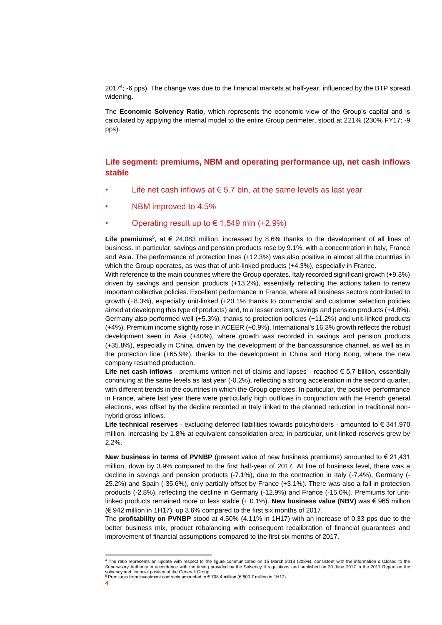2017<sup>4</sup> ; -6 pps). The change was due to the financial markets at half-year, influenced by the BTP spread widening.

The **Economic Solvency Ratio**, which represents the economic view of the Group's capital and is calculated by applying the internal model to the entire Group perimeter, stood at 221% (230% FY17; -9 pps).

## **Life segment: premiums, NBM and operating performance up, net cash inflows stable**

- Life net cash inflows at  $\epsilon$  5.7 bln, at the same levels as last year
- NBM improved to 4.5%
- Operating result up to  $\epsilon$  1,549 mln (+2.9%)

Life premiums<sup>5</sup>, at € 24,083 million, increased by 8.6% thanks to the development of all lines of business. In particular, savings and pension products rose by 9.1%, with a concentration in Italy, France and Asia. The performance of protection lines (+12.3%) was also positive in almost all the countries in which the Group operates, as was that of unit-linked products  $(+4.3\%)$ , especially in France.

With reference to the main countries where the Group operates, Italy recorded significant growth (+9.3%) driven by savings and pension products (+13.2%), essentially reflecting the actions taken to renew important collective policies. Excellent performance in France, where all business sectors contributed to growth (+8.3%), especially unit-linked (+20.1% thanks to commercial and customer selection policies aimed at developing this type of products) and, to a lesser extent, savings and pension products (+4.8%). Germany also performed well (+5.3%), thanks to protection policies (+11.2%) and unit-linked products (+4%). Premium income slightly rose in ACEER (+0.9%). International's 16.3% growth reflects the robust development seen in Asia (+40%), where growth was recorded in savings and pension products (+35.8%), especially in China, driven by the development of the bancassurance channel, as well as in the protection line (+65.9%), thanks to the development in China and Hong Kong, where the new company resumed production.

**Life net cash inflows** - premiums written net of claims and lapses - reached € 5.7 billion, essentially continuing at the same levels as last year (-0.2%), reflecting a strong acceleration in the second quarter, with different trends in the countries in which the Group operates. In particular, the positive performance in France, where last year there were particularly high outflows in conjunction with the French general elections, was offset by the decline recorded in Italy linked to the planned reduction in traditional nonhybrid gross inflows.

**Life technical reserves** - excluding deferred liabilities towards policyholders - amounted to € 341,970 million, increasing by 1.8% at equivalent consolidation area; in particular, unit-linked reserves grew by 2.2%.

**New business in terms of PVNBP** (present value of new business premiums) amounted to € 21,431 million, down by 3.9% compared to the first half-year of 2017. At line of business level, there was a decline in savings and pension products (-7.1%), due to the contraction in Italy (-7.4%), Germany (- 25.2%) and Spain (-35.6%), only partially offset by France (+3.1%). There was also a fall in protection products (-2.8%), reflecting the decline in Germany (-12.9%) and France (-15.0%). Premiums for unitlinked products remained more or less stable (+ 0.1%). **New business value (NBV)** was € 965 million (€ 942 million in 1H17), up 3.6% compared to the first six months of 2017.

The **profitability on PVNBP** stood at 4.50% (4.11% in 1H17) with an increase of 0.33 pps due to the better business mix, product rebalancing with consequent recalibration of financial guarantees and improvement of financial assumptions compared to the first six months of 2017.

 <sup>4</sup> The ratio represents an update with respect to the figure communicated on 15 March 2018 (208%), consistent with the information disclosed to the Supervisory Authority in accordance with the timing provided by the Solvency II regulations and published on 30 June 2017 in the 2017 Report on the solvency and financial position of the Generali Group.<br><sup>5</sup> Premiums from investment contracts amounted to € 708.4 million (€ 800.7 million in 1H17).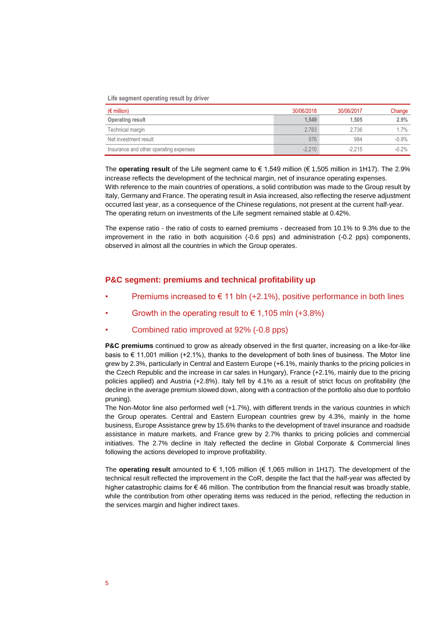#### **Life segment operating result by driver**

| $(\epsilon$ million)                   | 30/06/2018 | 30/06/2017 | Change   |
|----------------------------------------|------------|------------|----------|
| Operating result                       | 1.549      | 1.505      | 2.9%     |
| Technical margin                       | 2.783      | 2.736      | $1.7\%$  |
| Net investment result                  | 976        | 984        | $-0.9\%$ |
| Insurance and other operating expenses | $-2.210$   | $-2.215$   | $-0.2\%$ |

The **operating result** of the Life segment came to € 1,549 million (€ 1,505 million in 1H17). The 2.9% increase reflects the development of the technical margin, net of insurance operating expenses. With reference to the main countries of operations, a solid contribution was made to the Group result by Italy, Germany and France. The operating result in Asia increased, also reflecting the reserve adjustment occurred last year, as a consequence of the Chinese regulations, not present at the current half-year. The operating return on investments of the Life segment remained stable at 0.42%.

The expense ratio - the ratio of costs to earned premiums - decreased from 10.1% to 9.3% due to the improvement in the ratio in both acquisition (-0.6 pps) and administration (-0.2 pps) components, observed in almost all the countries in which the Group operates.

### **P&C segment: premiums and technical profitability up**

- Premiums increased to  $\epsilon$  11 bln (+2.1%), positive performance in both lines
- Growth in the operating result to  $\epsilon$  1,105 mln (+3.8%)
- Combined ratio improved at 92% (-0.8 pps)

**P&C premiums** continued to grow as already observed in the first quarter, increasing on a like-for-like basis to € 11,001 million (+2.1%), thanks to the development of both lines of business. The Motor line grew by 2.3%, particularly in Central and Eastern Europe (+6.1%, mainly thanks to the pricing policies in the Czech Republic and the increase in car sales in Hungary), France (+2.1%, mainly due to the pricing policies applied) and Austria (+2.8%). Italy fell by 4.1% as a result of strict focus on profitability (the decline in the average premium slowed down, along with a contraction of the portfolio also due to portfolio pruning).

The Non-Motor line also performed well (+1.7%), with different trends in the various countries in which the Group operates. Central and Eastern European countries grew by 4.3%, mainly in the home business, Europe Assistance grew by 15.6% thanks to the development of travel insurance and roadside assistance in mature markets, and France grew by 2.7% thanks to pricing policies and commercial initiatives. The 2.7% decline in Italy reflected the decline in Global Corporate & Commercial lines following the actions developed to improve profitability.

The **operating result** amounted to € 1,105 million (€ 1,065 million in 1H17). The development of the technical result reflected the improvement in the CoR, despite the fact that the half-year was affected by higher catastrophic claims for € 46 million. The contribution from the financial result was broadly stable, while the contribution from other operating items was reduced in the period, reflecting the reduction in the services margin and higher indirect taxes.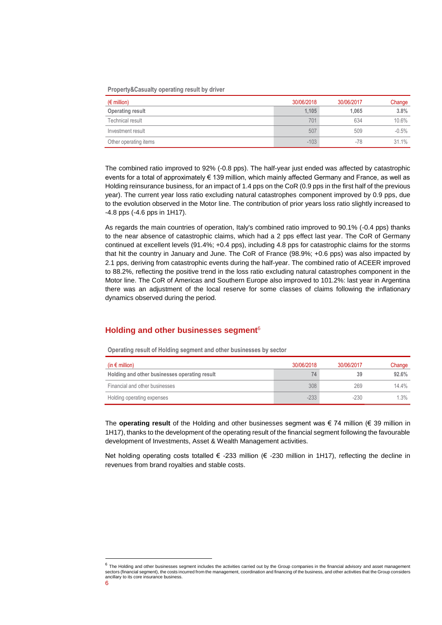#### **Property&Casualty operating result by driver**

| $(\epsilon$ million)  | 30/06/2018 | 30/06/2017 | Change   |
|-----------------------|------------|------------|----------|
| Operating result      | 1.105      | 1.065      | 3.8%     |
| Technical result      | 701        | 634        | 10.6%    |
| Investment result     | 507        | 509        | $-0.5\%$ |
| Other operating items | $-103$     | $-78$      | 31.1%    |

The combined ratio improved to 92% (-0.8 pps). The half-year just ended was affected by catastrophic events for a total of approximately € 139 million, which mainly affected Germany and France, as well as Holding reinsurance business, for an impact of 1.4 pps on the CoR (0.9 pps in the first half of the previous year). The current year loss ratio excluding natural catastrophes component improved by 0.9 pps, due to the evolution observed in the Motor line. The contribution of prior years loss ratio slightly increased to -4.8 pps (-4.6 pps in 1H17).

As regards the main countries of operation, Italy's combined ratio improved to 90.1% (-0.4 pps) thanks to the near absence of catastrophic claims, which had a 2 pps effect last year. The CoR of Germany continued at excellent levels (91.4%; +0.4 pps), including 4.8 pps for catastrophic claims for the storms that hit the country in January and June. The CoR of France (98.9%; +0.6 pps) was also impacted by 2.1 pps, deriving from catastrophic events during the half-year. The combined ratio of ACEER improved to 88.2%, reflecting the positive trend in the loss ratio excluding natural catastrophes component in the Motor line. The CoR of Americas and Southern Europe also improved to 101.2%: last year in Argentina there was an adjustment of the local reserve for some classes of claims following the inflationary dynamics observed during the period.

### **Holding and other businesses segment**<sup>6</sup>

**Operating result of Holding segment and other businesses by sector**

| (in $\epsilon$ million)                       | 30/06/2018 | 30/06/2017 | Change  |
|-----------------------------------------------|------------|------------|---------|
| Holding and other businesses operating result | 74         | 39         | 92.6%   |
| Financial and other businesses                | 308        | 269        | 14 4%   |
| Holding operating expenses                    | $-233$     | $-230$     | $1.3\%$ |

The **operating result** of the Holding and other businesses segment was € 74 million (€ 39 million in 1H17), thanks to the development of the operating result of the financial segment following the favourable development of Investments, Asset & Wealth Management activities.

Net holding operating costs totalled  $∈$  -233 million ( $∈$  -230 million in 1H17), reflecting the decline in revenues from brand royalties and stable costs.

**.** 

 $^6$  The Holding and other businesses segment includes the activities carried out by the Group companies in the financial advisory and asset management sectors (financial segment), the costs incurred from the management, coordination and financing of the business, and other activities that the Group considers ancillary to its core insurance business.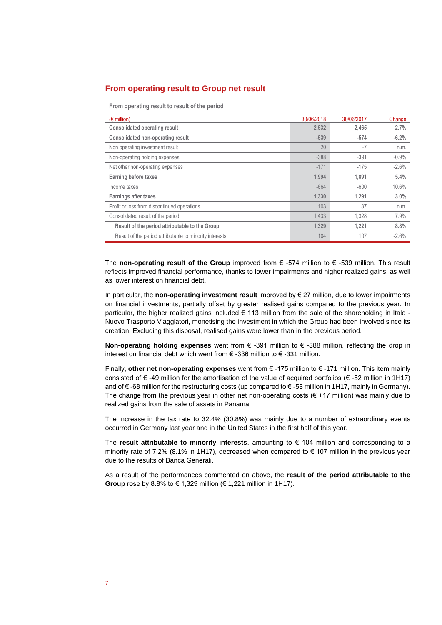### **From operating result to Group net result**

**From operating result to result of the period**

| $(\epsilon$ million)                                    | 30/06/2018 | 30/06/2017 | Change  |
|---------------------------------------------------------|------------|------------|---------|
| <b>Consolidated operating result</b>                    | 2.532      | 2.465      | 2.7%    |
| <b>Consolidated non-operating result</b>                | $-539$     | $-574$     | $-6.2%$ |
| Non operating investment result                         | 20         | $-7$       | n.m.    |
| Non-operating holding expenses                          | $-388$     | $-391$     | $-0.9%$ |
| Net other non-operating expenses                        | $-171$     | $-175$     | $-2.6%$ |
| Earning before taxes                                    | 1.994      | 1.891      | 5.4%    |
| Income taxes                                            | $-664$     | $-600$     | 10.6%   |
| Earnings after taxes                                    | 1.330      | 1.291      | 3.0%    |
| Profit or loss from discontinued operations             | 103        | 37         | n.m.    |
| Consolidated result of the period                       | 1,433      | 1.328      | 7.9%    |
| Result of the period attributable to the Group          | 1.329      | 1.221      | 8.8%    |
| Result of the period attributable to minority interests | 104        | 107        | $-2.6%$ |

The **non-operating result of the Group** improved from € -574 million to € -539 million. This result reflects improved financial performance, thanks to lower impairments and higher realized gains, as well as lower interest on financial debt.

In particular, the **non-operating investment result** improved by € 27 million, due to lower impairments on financial investments, partially offset by greater realised gains compared to the previous year. In particular, the higher realized gains included € 113 million from the sale of the shareholding in Italo - Nuovo Trasporto Viaggiatori, monetising the investment in which the Group had been involved since its creation. Excluding this disposal, realised gains were lower than in the previous period.

**Non-operating holding expenses** went from € -391 million to € -388 million, reflecting the drop in interest on financial debt which went from € -336 million to € -331 million.

Finally, **other net non-operating expenses** went from € -175 million to € -171 million. This item mainly consisted of  $\epsilon$  -49 million for the amortisation of the value of acquired portfolios ( $\epsilon$  -52 million in 1H17) and of € -68 million for the restructuring costs (up compared to € -53 million in 1H17, mainly in Germany). The change from the previous year in other net non-operating costs  $(\epsilon + 17 \text{ million})$  was mainly due to realized gains from the sale of assets in Panama.

The increase in the tax rate to 32.4% (30.8%) was mainly due to a number of extraordinary events occurred in Germany last year and in the United States in the first half of this year.

The **result attributable to minority interests**, amounting to € 104 million and corresponding to a minority rate of 7.2% (8.1% in 1H17), decreased when compared to  $\epsilon$  107 million in the previous year due to the results of Banca Generali.

As a result of the performances commented on above, the **result of the period attributable to the Group** rose by 8.8% to € 1,329 million (€ 1,221 million in 1H17).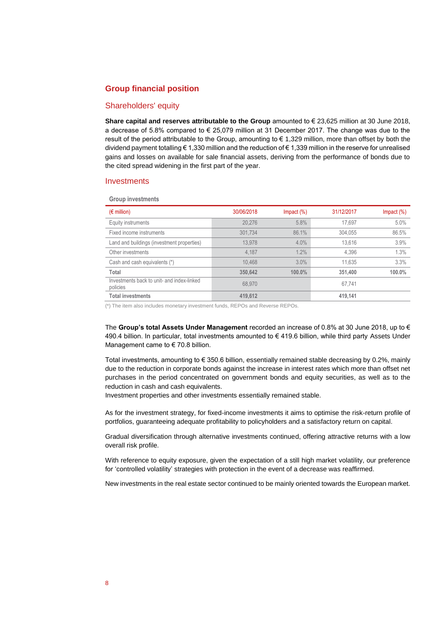### **Group financial position**

### Shareholders' equity

**Share capital and reserves attributable to the Group** amounted to € 23,625 million at 30 June 2018, a decrease of 5.8% compared to € 25,079 million at 31 December 2017. The change was due to the result of the period attributable to the Group, amounting to € 1,329 million, more than offset by both the dividend payment totalling € 1,330 million and the reduction of € 1,339 million in the reserve for unrealised gains and losses on available for sale financial assets, deriving from the performance of bonds due to the cited spread widening in the first part of the year.

### **Investments**

**Group investments**

| $(\epsilon$ million)                                   | 30/06/2018 | $Im$ pact $(\%)$ | 31/12/2017 | $Im$ pact $(\%)$ |
|--------------------------------------------------------|------------|------------------|------------|------------------|
| Equity instruments                                     | 20.276     | 5.8%             | 17,697     | 5.0%             |
| Fixed income instruments                               | 301.734    | 86.1%            | 304,055    | 86.5%            |
| Land and buildings (investment properties)             | 13.978     | 4.0%             | 13.616     | 3.9%             |
| Other investments                                      | 4.187      | 1.2%             | 4,396      | 1.3%             |
| Cash and cash equivalents (*)                          | 10.468     | 3.0%             | 11,635     | 3.3%             |
| Total                                                  | 350,642    | 100.0%           | 351,400    | 100.0%           |
| Investments back to unit- and index-linked<br>policies | 68.970     |                  | 67.741     |                  |
| <b>Total investments</b>                               | 419.612    |                  | 419.141    |                  |

(\*) The item also includes monetary investment funds, REPOs and Reverse REPOs.

The **Group's total Assets Under Management** recorded an increase of 0.8% at 30 June 2018, up to € 490.4 billion. In particular, total investments amounted to € 419.6 billion, while third party Assets Under Management came to  $\epsilon$  70.8 billion.

Total investments, amounting to  $\epsilon$  350.6 billion, essentially remained stable decreasing by 0.2%, mainly due to the reduction in corporate bonds against the increase in interest rates which more than offset net purchases in the period concentrated on government bonds and equity securities, as well as to the reduction in cash and cash equivalents.

Investment properties and other investments essentially remained stable.

As for the investment strategy, for fixed-income investments it aims to optimise the risk-return profile of portfolios, guaranteeing adequate profitability to policyholders and a satisfactory return on capital.

Gradual diversification through alternative investments continued, offering attractive returns with a low overall risk profile.

With reference to equity exposure, given the expectation of a still high market volatility, our preference for 'controlled volatility' strategies with protection in the event of a decrease was reaffirmed.

New investments in the real estate sector continued to be mainly oriented towards the European market.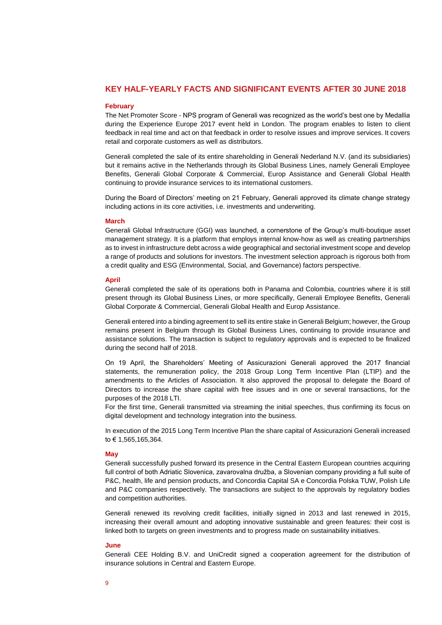### **KEY HALF-YEARLY FACTS AND SIGNIFICANT EVENTS AFTER 30 JUNE 2018**

#### **February**

The Net Promoter Score - NPS program of Generali was recognized as the world's best one by Medallia during the Experience Europe 2017 event held in London. The program enables to listen to client feedback in real time and act on that feedback in order to resolve issues and improve services. It covers retail and corporate customers as well as distributors.

Generali completed the sale of its entire shareholding in Generali Nederland N.V. (and its subsidiaries) but it remains active in the Netherlands through its Global Business Lines, namely Generali Employee Benefits, Generali Global Corporate & Commercial, Europ Assistance and Generali Global Health continuing to provide insurance services to its international customers.

During the Board of Directors' meeting on 21 February, Generali approved its climate change strategy including actions in its core activities, i.e. investments and underwriting.

#### **March**

Generali Global Infrastructure (GGI) was launched, a cornerstone of the Group's multi-boutique asset management strategy. It is a platform that employs internal know-how as well as creating partnerships as to invest in infrastructure debt across a wide geographical and sectorial investment scope and develop a range of products and solutions for investors. The investment selection approach is rigorous both from a credit quality and ESG (Environmental, Social, and Governance) factors perspective.

### **April**

Generali completed the sale of its operations both in Panama and Colombia, countries where it is still present through its Global Business Lines, or more specifically, Generali Employee Benefits, Generali Global Corporate & Commercial, Generali Global Health and Europ Assistance.

Generali entered into a binding agreement to sell its entire stake in Generali Belgium; however, the Group remains present in Belgium through its Global Business Lines, continuing to provide insurance and assistance solutions. The transaction is subject to regulatory approvals and is expected to be finalized during the second half of 2018.

On 19 April, the Shareholders' Meeting of Assicurazioni Generali approved the 2017 financial statements, the remuneration policy, the 2018 Group Long Term Incentive Plan (LTIP) and the amendments to the Articles of Association. It also approved the proposal to delegate the Board of Directors to increase the share capital with free issues and in one or several transactions, for the purposes of the 2018 LTI.

For the first time, Generali transmitted via streaming the initial speeches, thus confirming its focus on digital development and technology integration into the business.

In execution of the 2015 Long Term Incentive Plan the share capital of Assicurazioni Generali increased to € 1,565,165,364.

#### **May**

Generali successfully pushed forward its presence in the Central Eastern European countries acquiring full control of both Adriatic Slovenica, zavarovalna družba, a Slovenian company providing a full suite of P&C, health, life and pension products, and Concordia Capital SA e Concordia Polska TUW, Polish Life and P&C companies respectively. The transactions are subject to the approvals by regulatory bodies and competition authorities.

Generali renewed its revolving credit facilities, initially signed in 2013 and last renewed in 2015, increasing their overall amount and adopting innovative sustainable and green features: their cost is linked both to targets on green investments and to progress made on sustainability initiatives.

#### **June**

Generali CEE Holding B.V. and UniCredit signed a cooperation agreement for the distribution of insurance solutions in Central and Eastern Europe.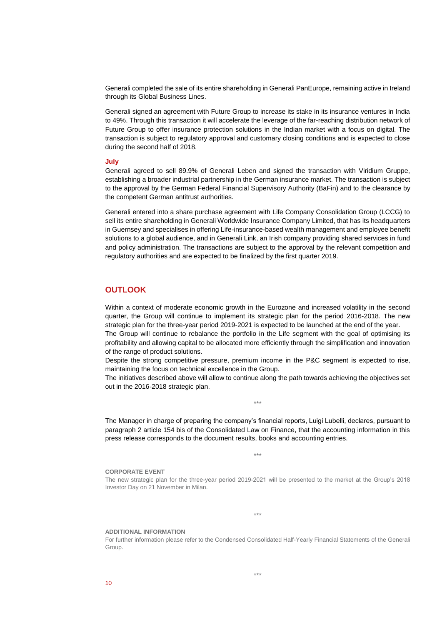Generali completed the sale of its entire shareholding in Generali PanEurope, remaining active in Ireland through its Global Business Lines.

Generali signed an agreement with Future Group to increase its stake in its insurance ventures in India to 49%. Through this transaction it will accelerate the leverage of the far-reaching distribution network of Future Group to offer insurance protection solutions in the Indian market with a focus on digital. The transaction is subject to regulatory approval and customary closing conditions and is expected to close during the second half of 2018.

#### **July**

Generali agreed to sell 89.9% of Generali Leben and signed the transaction with Viridium Gruppe, establishing a broader industrial partnership in the German insurance market. The transaction is subject to the approval by the German Federal Financial Supervisory Authority (BaFin) and to the clearance by the competent German antitrust authorities.

Generali entered into a share purchase agreement with Life Company Consolidation Group (LCCG) to sell its entire shareholding in Generali Worldwide Insurance Company Limited, that has its headquarters in Guernsey and specialises in offering Life-insurance-based wealth management and employee benefit solutions to a global audience, and in Generali Link, an Irish company providing shared services in fund and policy administration. The transactions are subject to the approval by the relevant competition and regulatory authorities and are expected to be finalized by the first quarter 2019.

### **OUTLOOK**

Within a context of moderate economic growth in the Eurozone and increased volatility in the second quarter, the Group will continue to implement its strategic plan for the period 2016-2018. The new strategic plan for the three-year period 2019-2021 is expected to be launched at the end of the year.

The Group will continue to rebalance the portfolio in the Life segment with the goal of optimising its profitability and allowing capital to be allocated more efficiently through the simplification and innovation of the range of product solutions.

Despite the strong competitive pressure, premium income in the P&C segment is expected to rise, maintaining the focus on technical excellence in the Group.

The initiatives described above will allow to continue along the path towards achieving the objectives set out in the 2016-2018 strategic plan.

\*\*\*

The Manager in charge of preparing the company's financial reports, Luigi Lubelli, declares, pursuant to paragraph 2 article 154 bis of the Consolidated Law on Finance, that the accounting information in this press release corresponds to the document results, books and accounting entries.

\*\*\*

#### **CORPORATE EVENT**

The new strategic plan for the three-year period 2019-2021 will be presented to the market at the Group's 2018 Investor Day on 21 November in Milan.

\*\*\*

#### **ADDITIONAL INFORMATION**

For further information please refer to the Condensed Consolidated Half-Yearly Financial Statements of the Generali Group.

 $10$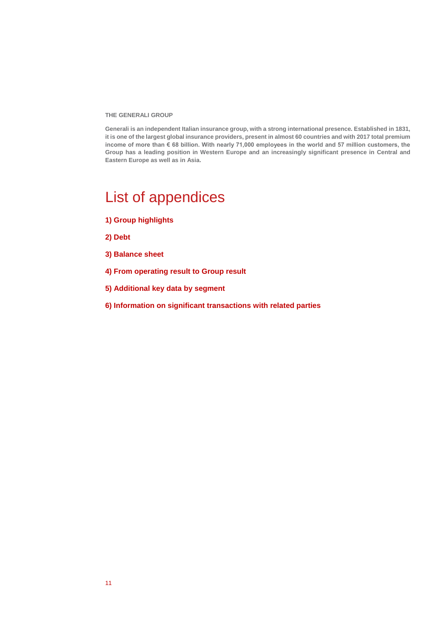**THE GENERALI GROUP** 

**Generali is an independent Italian insurance group, with a strong international presence. Established in 1831, it is one of the largest global insurance providers, present in almost 60 countries and with 2017 total premium income of more than € 68 billion. With nearly 71,000 employees in the world and 57 million customers, the Group has a leading position in Western Europe and an increasingly significant presence in Central and Eastern Europe as well as in Asia.**

# List of appendices

- **1) Group highlights**
- **2) Debt**
- **3) Balance sheet**
- **4) From operating result to Group result**
- **5) Additional key data by segment**
- **6) Information on significant transactions with related parties**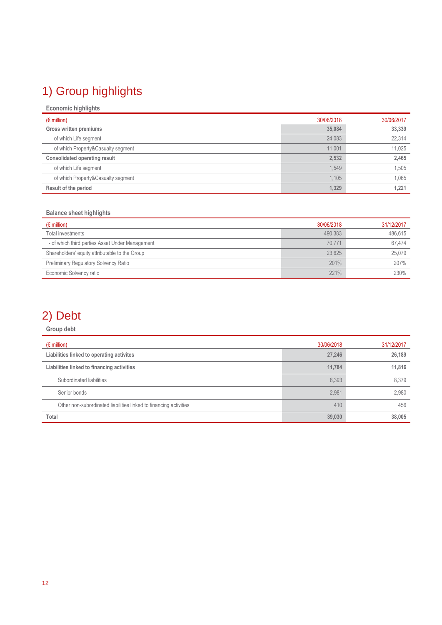# 1) Group highlights

| <b>Economic highlights</b>           |            |            |
|--------------------------------------|------------|------------|
| $(\epsilon$ million)                 | 30/06/2018 | 30/06/2017 |
| Gross written premiums               | 35,084     | 33,339     |
| of which Life segment                | 24,083     | 22,314     |
| of which Property&Casualty segment   | 11.001     | 11.025     |
| <b>Consolidated operating result</b> | 2,532      | 2,465      |
| of which Life segment                | 1,549      | 1,505      |
| of which Property&Casualty segment   | 1.105      | 1,065      |
| Result of the period                 | 1,329      | 1,221      |

## **Balance sheet highlights**

| $(\epsilon$ million)                            | 30/06/2018 | 31/12/2017 |
|-------------------------------------------------|------------|------------|
| Total investments                               | 490.383    | 486,615    |
| - of which third parties Asset Under Management | 70.771     | 67.474     |
| Shareholders' equity attributable to the Group  | 23.625     | 25.079     |
| <b>Preliminary Regulatory Solvency Ratio</b>    | 201%       | 207%       |
| Economic Solvency ratio                         | 221%       | 230%       |

# 2) Debt

## **Group debt**

| $(\epsilon$ million)                                              | 30/06/2018 | 31/12/2017 |
|-------------------------------------------------------------------|------------|------------|
| Liabilities linked to operating activites                         | 27.246     | 26,189     |
| Liabilities linked to financing activities                        | 11.784     | 11.816     |
| Subordinated liabilities                                          | 8.393      | 8,379      |
| Senior bonds                                                      | 2,981      | 2,980      |
| Other non-subordinated liabilities linked to financing activities | 410        | 456        |
| Total                                                             | 39,030     | 38,005     |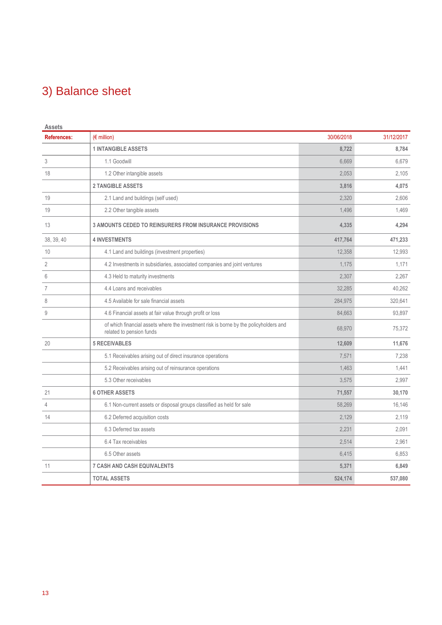# 3) Balance sheet

| <b>Assets</b>      |                                                                                                                   |            |            |
|--------------------|-------------------------------------------------------------------------------------------------------------------|------------|------------|
| <b>References:</b> | $(\epsilon$ million)                                                                                              | 30/06/2018 | 31/12/2017 |
|                    | <b>1 INTANGIBLE ASSETS</b>                                                                                        | 8,722      | 8,784      |
| 3                  | 1.1 Goodwill                                                                                                      | 6.669      | 6,679      |
| 18                 | 1.2 Other intangible assets                                                                                       | 2,053      | 2,105      |
|                    | <b>2 TANGIBLE ASSETS</b>                                                                                          | 3,816      | 4,075      |
| 19                 | 2.1 Land and buildings (self used)                                                                                | 2.320      | 2,606      |
| 19                 | 2.2 Other tangible assets                                                                                         | 1,496      | 1,469      |
| 13                 | <b>3 AMOUNTS CEDED TO REINSURERS FROM INSURANCE PROVISIONS</b>                                                    | 4,335      | 4,294      |
| 38, 39, 40         | <b>4 INVESTMENTS</b>                                                                                              | 417,764    | 471,233    |
| 10                 | 4.1 Land and buildings (investment properties)                                                                    | 12,358     | 12,993     |
| $\overline{2}$     | 4.2 Investments in subsidiaries, associated companies and joint ventures                                          | 1.175      | 1,171      |
| 6                  | 4.3 Held to maturity investments                                                                                  | 2,307      | 2,267      |
| $\overline{7}$     | 4.4 Loans and receivables                                                                                         | 32,285     | 40,262     |
| 8                  | 4.5 Available for sale financial assets                                                                           | 284,975    | 320,641    |
| $\mathsf g$        | 4.6 Financial assets at fair value through profit or loss                                                         | 84,663     | 93,897     |
|                    | of which financial assets where the investment risk is borne by the policyholders and<br>related to pension funds | 68,970     | 75,372     |
| 20                 | <b>5 RECEIVABLES</b>                                                                                              | 12.609     | 11,676     |
|                    | 5.1 Receivables arising out of direct insurance operations                                                        | 7,571      | 7,238      |
|                    | 5.2 Receivables arising out of reinsurance operations                                                             | 1.463      | 1,441      |
|                    | 5.3 Other receivables                                                                                             | 3,575      | 2,997      |
| 21                 | <b>6 OTHER ASSETS</b>                                                                                             | 71,557     | 30,170     |
| $\overline{4}$     | 6.1 Non-current assets or disposal groups classified as held for sale                                             | 58,269     | 16,146     |
| 14                 | 6.2 Deferred acquisition costs                                                                                    | 2,129      | 2,119      |
|                    | 6.3 Deferred tax assets                                                                                           | 2,231      | 2,091      |
|                    | 6.4 Tax receivables                                                                                               | 2,514      | 2,961      |
|                    | 6.5 Other assets                                                                                                  | 6,415      | 6,853      |
| 11                 | <b>7 CASH AND CASH EQUIVALENTS</b>                                                                                | 5,371      | 6,849      |
|                    | <b>TOTAL ASSETS</b>                                                                                               | 524,174    | 537,080    |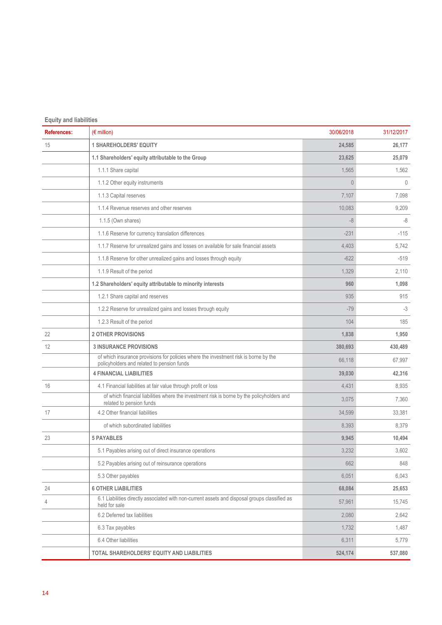| <b>Equity and liabilities</b> |                                                                                                                                    |                |              |
|-------------------------------|------------------------------------------------------------------------------------------------------------------------------------|----------------|--------------|
| <b>References:</b>            | $(\epsilon$ million)                                                                                                               | 30/06/2018     | 31/12/2017   |
| 15                            | <b>1 SHAREHOLDERS' EQUITY</b>                                                                                                      | 24,585         | 26,177       |
|                               | 1.1 Shareholders' equity attributable to the Group                                                                                 | 23,625         | 25,079       |
|                               | 1.1.1 Share capital                                                                                                                | 1,565          | 1,562        |
|                               | 1.1.2 Other equity instruments                                                                                                     | $\overline{0}$ | $\mathbf{0}$ |
|                               | 1.1.3 Capital reserves                                                                                                             | 7,107          | 7,098        |
|                               | 1.1.4 Revenue reserves and other reserves                                                                                          | 10,083         | 9,209        |
|                               | 1.1.5 (Own shares)                                                                                                                 | $-8$           | -8           |
|                               | 1.1.6 Reserve for currency translation differences                                                                                 | $-231$         | $-115$       |
|                               | 1.1.7 Reserve for unrealized gains and losses on available for sale financial assets                                               | 4,403          | 5,742        |
|                               | 1.1.8 Reserve for other unrealized gains and losses through equity                                                                 | $-622$         | $-519$       |
|                               | 1.1.9 Result of the period                                                                                                         | 1,329          | 2,110        |
|                               | 1.2 Shareholders' equity attributable to minority interests                                                                        | 960            | 1,098        |
|                               | 1.2.1 Share capital and reserves                                                                                                   | 935            | 915          |
|                               | 1.2.2 Reserve for unrealized gains and losses through equity                                                                       | $-79$          | $-3$         |
|                               | 1.2.3 Result of the period                                                                                                         | 104            | 185          |
| 22                            | <b>2 OTHER PROVISIONS</b>                                                                                                          | 1,838          | 1,950        |
| 12                            | <b>3 INSURANCE PROVISIONS</b>                                                                                                      | 380,693        | 430,489      |
|                               | of which insurance provisions for policies where the investment risk is borne by the<br>policyholders and related to pension funds | 66,118         | 67,997       |
|                               | <b>4 FINANCIAL LIABILITIES</b>                                                                                                     | 39,030         | 42,316       |
| 16                            | 4.1 Financial liabilities at fair value through profit or loss                                                                     | 4,431          | 8,935        |
|                               | of which financial liabilities where the investment risk is borne by the policyholders and<br>related to pension funds             | 3,075          | 7,360        |
| 17                            | 4.2 Other financial liabilities                                                                                                    | 34,599         | 33,381       |
|                               | of which subordinated liabilities                                                                                                  | 8,393          | 8,379        |
| 23                            | <b>5 PAYABLES</b>                                                                                                                  | 9,945          | 10,494       |
|                               | 5.1 Payables arising out of direct insurance operations                                                                            | 3,232          | 3,602        |
|                               | 5.2 Payables arising out of reinsurance operations                                                                                 | 662            | 848          |
|                               | 5.3 Other payables                                                                                                                 | 6,051          | 6,043        |
| 24                            | <b>6 OTHER LIABILITIES</b>                                                                                                         | 68.084         | 25,653       |
| 4                             | 6.1 Liabilities directly associated with non-current assets and disposal groups classified as<br>held for sale                     | 57,961         | 15,745       |
|                               | 6.2 Deferred tax liabilities                                                                                                       | 2,080          | 2,642        |
|                               | 6.3 Tax payables                                                                                                                   | 1,732          | 1,487        |
|                               | 6.4 Other liabilities                                                                                                              | 6,311          | 5,779        |
|                               | TOTAL SHAREHOLDERS' EQUITY AND LIABILITIES                                                                                         | 524,174        | 537,080      |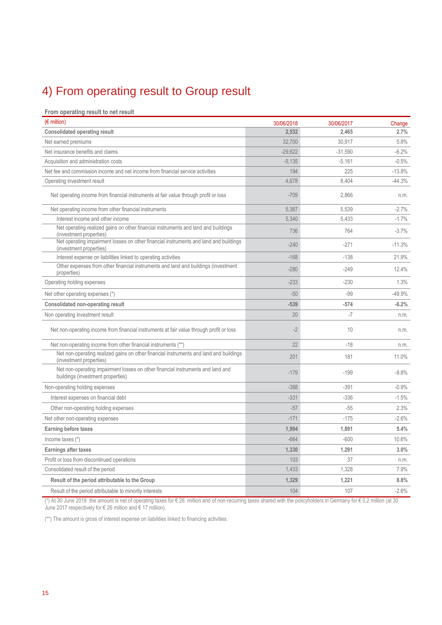# 4) From operating result to Group result

### **From operating result to net result**

| $(\epsilon$ million)                                                                                                 | 30/06/2018 | 30/06/2017 | Change   |
|----------------------------------------------------------------------------------------------------------------------|------------|------------|----------|
| <b>Consolidated operating result</b>                                                                                 | 2.532      | 2.465      | 2.7%     |
| Net earned premiums                                                                                                  | 32,700     | 30,917     | 5.8%     |
| Net insurance benefits and claims                                                                                    | $-29,622$  | $-31,590$  | $-6.2%$  |
| Acquisition and administration costs                                                                                 | $-5,135$   | $-5,161$   | $-0.5%$  |
| Net fee and commission income and net income from financial service activities                                       | 194        | 225        | $-13.8%$ |
| Operating investment result                                                                                          | 4,678      | 8,404      | $-44.3%$ |
| Net operating income from financial instruments at fair value through profit or loss                                 | $-709$     | 2.866      | n.m.     |
| Net operating income from other financial instruments                                                                | 5,387      | 5.539      | $-2.7%$  |
| Interest income and other income                                                                                     | 5,340      | 5,433      | $-1.7%$  |
| Net operating realized gains on other financial instruments and land and buildings<br>(investment properties)        | 736        | 764        | $-3.7%$  |
| Net operating impairment losses on other financial instruments and land and buildings<br>(investment properties)     | $-240$     | $-271$     | $-11.3%$ |
| Interest expense on liabilities linked to operating activities                                                       | $-168$     | $-138$     | 21.9%    |
| Other expenses from other financial instruments and land and buildings (investment<br>properties)                    | $-280$     | $-249$     | 12.4%    |
| Operating holding expenses                                                                                           | $-233$     | $-230$     | 1.3%     |
| Net other operating expenses (*)                                                                                     | $-50$      | $-99$      | -49.9%   |
| <b>Consolidated non-operating result</b>                                                                             | $-539$     | $-574$     | $-6.2%$  |
| Non operating investment result                                                                                      | 20         | $-7$       | n.m.     |
| Net non-operating income from financial instruments at fair value through profit or loss                             | $-2$       | 10         | n.m.     |
| Net non-operating income from other financial instruments (**)                                                       | 22         | $-18$      | n.m.     |
| Net non-operating realized gains on other financial instruments and land and buildings<br>(investment properties)    | 201        | 181        | 11.0%    |
| Net non-operating impairment losses on other financial instruments and land and<br>buildings (investment properties) | $-179$     | $-199$     | $-9.8%$  |
| Non-operating holding expenses                                                                                       | $-388$     | $-391$     | $-0.9%$  |
| Interest expenses on financial debt                                                                                  | $-331$     | $-336$     | $-1.5%$  |
| Other non-operating holding expenses                                                                                 | $-57$      | $-55$      | 2.3%     |
| Net other non-operating expenses                                                                                     | $-171$     | $-175$     | $-2.6%$  |
| <b>Earning before taxes</b>                                                                                          | 1,994      | 1,891      | 5.4%     |
| Income taxes $(*)$                                                                                                   | $-664$     | $-600$     | 10.6%    |
| Earnings after taxes                                                                                                 | 1,330      | 1,291      | 3.0%     |
| Profit or loss from discontinued operations                                                                          | 103        | 37         | n.m.     |
| Consolidated result of the period                                                                                    | 1,433      | 1,328      | 7.9%     |
| Result of the period attributable to the Group                                                                       | 1,329      | 1,221      | 8.8%     |
| Result of the period attributable to minority interests                                                              | 104        | 107        | $-2.6%$  |

(\*) At 30 June 2018 the amount is net of operating taxes for € 26 million and of non-recurring taxes shared with the policyholders in Germany for € 0,2 million (at 30 June 2017 respectively for € 26 million and € 17 million).

(\*\*) The amount is gross of interest expense on liabilities linked to financing activities.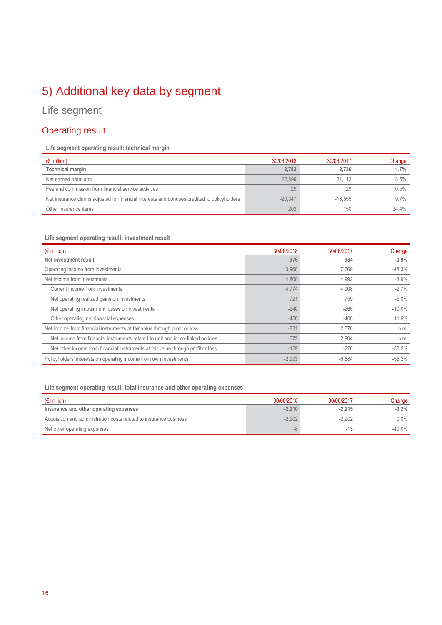# 5) Additional key data by segment

# Life segment

## Operating result

## **Life segment operating result: technical margin**

| $(\epsilon$ million)                                                                        | 30/06/2018 | 30/06/2017 | Change |
|---------------------------------------------------------------------------------------------|------------|------------|--------|
| Technical margin                                                                            | 2.783      | 2.736      | 1.7%   |
| Net earned premiums                                                                         | 22.899     | 21 1 1 2   | 8.5%   |
| Fee and commission from financial service activities                                        | 29         | 29         | 0.5%   |
| Net insurance claims adjusted for financial interests and bonuses credited to policyholders | $-20.347$  | $-18.555$  | 9.7%   |
| Other insurance items                                                                       | 202        | 150        | 34.4%  |

### **Life segment operating result: investment result**

| $(\epsilon$ million)                                                             | 30/06/2018 | 30/06/2017 | Change    |
|----------------------------------------------------------------------------------|------------|------------|-----------|
| Net investment result                                                            | 976        | 984        | $-0.9%$   |
| Operating income from investments                                                | 3,968      | 7.669      | $-48.3%$  |
| Net income from investments                                                      | 4,800      | 4,992      | $-3.9%$   |
| Current income from investments                                                  | 4,774      | 4.908      | $-2.7%$   |
| Net operating realized gains on investments                                      | 721        | 759        | $-5.0%$   |
| Net operating impairment losses on investments                                   | $-240$     | $-266$     | $-10.0\%$ |
| Other operating net financial expenses                                           | $-456$     | $-408$     | 11.6%     |
| Net income from financial instruments at fair value through profit or loss       | $-831$     | 2.676      | n.m.      |
| Net income from financial instruments related to unit and index-linked policies  | $-672$     | 2,904      | n.m.      |
| Net other income from financial instruments at fair value through profit or loss | $-159$     | $-228$     | $-30.2%$  |
| Policyholders' interests on operating income from own investments                | $-2,993$   | $-6.684$   | $-55.2%$  |

## **Life segment operating result: total insurance and other operating expenses**

| $(\epsilon$ million)                                               | 30/06/2018 | 30/06/2017 | Change  |
|--------------------------------------------------------------------|------------|------------|---------|
| Insurance and other operating expenses                             | $-2.210$   | $-2.215$   | $-0.2%$ |
| Acquisition and administration costs related to insurance business | $-2.202$   | $-2.202$   | $0.0\%$ |
| Net other operating expenses                                       | -8         | $-13$      | -40.0%  |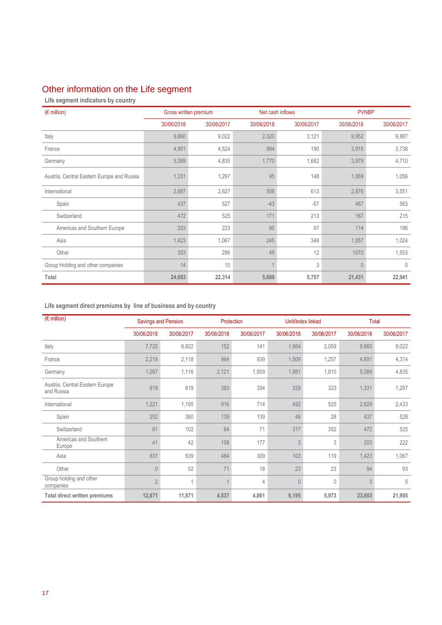# Other information on the Life segment

**Life segment indicators by country**

| $(\epsilon$ million)                       |            | Gross written premium |            | Net cash inflows |            | <b>PVNBP</b> |
|--------------------------------------------|------------|-----------------------|------------|------------------|------------|--------------|
|                                            | 30/06/2018 | 30/06/2017            | 30/06/2018 | 30/06/2017       | 30/06/2018 | 30/06/2017   |
| Italy                                      | 9,860      | 9,022                 | 2,320      | 3,121            | 9,952      | 9,887        |
| France                                     | 4,901      | 4,524                 | 994        | 190              | 3,915      | 3,738        |
| Germany                                    | 5,089      | 4,835                 | 1,770      | 1,682            | 3,979      | 4,710        |
| Austria, Central Eastern Europe and Russia | 1,331      | 1,297                 | 95         | 148              | 1,069      | 1,056        |
| International                              | 2,887      | 2,627                 | 508        | 613              | 2,876      | 3,551        |
| Spain                                      | 437        | 527                   | $-43$      | $-57$            | 467        | 563          |
| Switzerland                                | 472        | 525                   | 171        | 213              | 167        | 215          |
| Americas and Southern Europe               | 203        | 223                   | 85         | 97               | 114        | 196          |
| Asia                                       | 1,423      | 1,067                 | 245        | 348              | 1,057      | 1,024        |
| Other                                      | 353        | 286                   | 49         | 12               | 1070       | 1,553        |
| Group Holding and other companies          | 14         | 10                    |            | 3                | $\Omega$   | $\mathbf{0}$ |
| Total                                      | 24,083     | 22,314                | 5,689      | 5,757            | 21,431     | 22,941       |

## **Life segment direct premiums by line of business and by country**

| $(E \text{ million})$                         | <b>Savings and Pension</b><br>Protection |            |            | Unit/index linked | Total      |            |            |            |
|-----------------------------------------------|------------------------------------------|------------|------------|-------------------|------------|------------|------------|------------|
|                                               | 30/06/2018                               | 30/06/2017 | 30/06/2018 | 30/06/2017        | 30/06/2018 | 30/06/2017 | 30/06/2018 | 30/06/2017 |
| Italy                                         | 7,725                                    | 6,822      | 152        | 141               | 1,984      | 2,059      | 9,860      | 9,022      |
| France                                        | 2,219                                    | 2,118      | 964        | 939               | 1,509      | 1,257      | 4,691      | 4,314      |
| Germany                                       | 1,087                                    | 1,116      | 2,121      | 1,909             | 1,881      | 1,810      | 5,089      | 4,835      |
| Austria, Central Eastern Europe<br>and Russia | 619                                      | 619        | 383        | 354               | 329        | 323        | 1,331      | 1,297      |
| International                                 | 1,221                                    | 1,195      | 916        | 714               | 492        | 525        | 2,629      | 2,433      |
| Spain                                         | 252                                      | 360        | 139        | 139               | 46         | 28         | 437        | 528        |
| Switzerland                                   | 91                                       | 102        | 64         | 71                | 317        | 352        | 472        | 525        |
| Americas and Southern<br>Europe               | 41                                       | 42         | 158        | 177               | 3          | 3          | 203        | 222        |
| Asia                                          | 837                                      | 639        | 484        | 309               | 103        | 119        | 1,423      | 1,067      |
| Other                                         | $\theta$                                 | 52         | 71         | 18                | 23         | 23         | 94         | 93         |
| Group holding and other<br>companies          | $\overline{2}$                           | 1          |            | 4                 | $\theta$   | $\theta$   | 3          | 5          |
| <b>Total direct written premiums</b>          | 12,871                                   | 11,871     | 4,537      | 4,061             | 6,195      | 5,973      | 23,603     | 21,905     |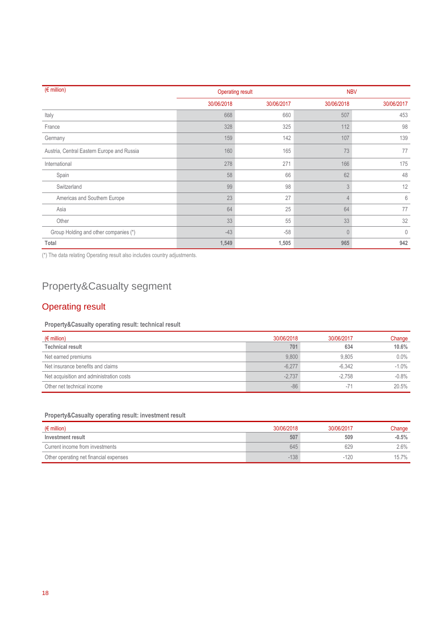| $\sqrt{\epsilon}$ million)                 |            | <b>Operating result</b> |                | <b>NBV</b> |
|--------------------------------------------|------------|-------------------------|----------------|------------|
|                                            | 30/06/2018 | 30/06/2017              | 30/06/2018     | 30/06/2017 |
| Italy                                      | 668        | 660                     | 507            | 453        |
| France                                     | 328        | 325                     | 112            | 98         |
| Germany                                    | 159        | 142                     | 107            | 139        |
| Austria, Central Eastern Europe and Russia | 160        | 165                     | 73             | 77         |
| International                              | 278        | 271                     | 166            | 175        |
| Spain                                      | 58         | 66                      | 62             | 48         |
| Switzerland                                | 99         | 98                      | $\mathfrak{Z}$ | 12         |
| Americas and Southern Europe               | 23         | 27                      | 4              | 6          |
| Asia                                       | 64         | 25                      | 64             | 77         |
| Other                                      | 33         | 55                      | 33             | 32         |
| Group Holding and other companies (*)      | $-43$      | $-58$                   | $\theta$       | $\theta$   |
| Total                                      | 1,549      | 1,505                   | 965            | 942        |

(\*) The data relating Operating result also includes country adjustments.

# Property&Casualty segment

## Operating result

## **Property&Casualty operating result: technical result**

| $(\epsilon$ million)                     | 30/06/2018 | 30/06/2017 | Change   |
|------------------------------------------|------------|------------|----------|
| <b>Technical result</b>                  | 701        | 634        | 10.6%    |
| Net earned premiums                      | 9.800      | 9.805      | $0.0\%$  |
| Net insurance benefits and claims        | $-6,277$   | $-6.342$   | $-1.0\%$ |
| Net acquisition and administration costs | $-2.737$   | $-2.758$   | $-0.8%$  |
| Other net technical income               | $-86$      | $-71$      | 20.5%    |

## **Property&Casualty operating result: investment result**

| $(\epsilon$ million)                   | 30/06/2018 | 30/06/2017 | Change  |
|----------------------------------------|------------|------------|---------|
| Investment result                      | 507        | 509        | $-0.5%$ |
| Current income from investments        | 645        | 629        | $2.6\%$ |
| Other operating net financial expenses | $-138$     | $-120$     | 15.7%   |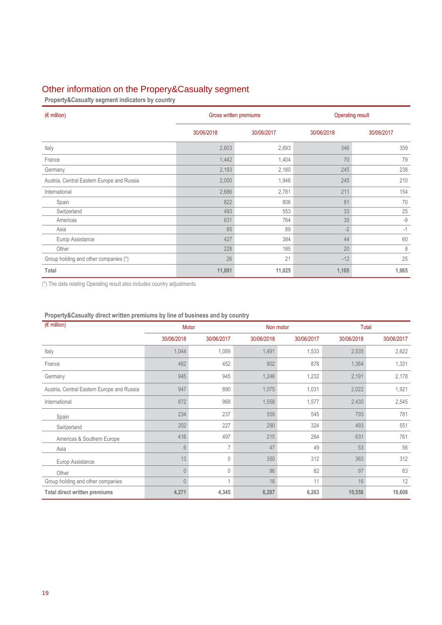# Other information on the Propery&Casualty segment

**Property&Casualty segment indicators by country**

| $(\epsilon$ million)                       |            | Gross written premiums |            | <b>Operating result</b> |  |  |
|--------------------------------------------|------------|------------------------|------------|-------------------------|--|--|
|                                            | 30/06/2018 | 30/06/2017             | 30/06/2018 | 30/06/2017              |  |  |
| Italy                                      | 2,603      | 2,693                  | 346        | 359                     |  |  |
| France                                     | 1,442      | 1,404                  | 70         | 79                      |  |  |
| Germany                                    | 2,193      | 2,180                  | 245        | 238                     |  |  |
| Austria, Central Eastern Europe and Russia | 2,050      | 1,946                  | 245        | 210                     |  |  |
| International                              | 2,686      | 2,781                  | 211        | 154                     |  |  |
| Spain                                      | 822        | 806                    | 81         | 70                      |  |  |
| Switzerland                                | 493        | 553                    | 33         | 25                      |  |  |
| Americas                                   | 631        | 764                    | 35         | $-9$                    |  |  |
| Asia                                       | 85         | 89                     | $-2$       | $-1$                    |  |  |
| Europ Assistance                           | 427        | 384                    | 44         | 60                      |  |  |
| Other                                      | 228        | 185                    | 20         | $\,8\,$                 |  |  |
| Group holding and other companies (*)      | 26         | 21                     | $-12$      | 25                      |  |  |
| Total                                      | 11,001     | 11,025                 | 1,105      | 1,065                   |  |  |

(\*) The data relating Operating result also includes country adjustments.

| $(F \in \text{million})$                   |                | Motor      |            | Non motor  |            | <b>Total</b> |  |  |
|--------------------------------------------|----------------|------------|------------|------------|------------|--------------|--|--|
|                                            | 30/06/2018     | 30/06/2017 | 30/06/2018 | 30/06/2017 | 30/06/2018 | 30/06/2017   |  |  |
| Italy                                      | 1,044          | 1,089      | 1,491      | 1,533      | 2,535      | 2,622        |  |  |
| France                                     | 462            | 452        | 902        | 878        | 1,364      | 1,331        |  |  |
| Germany                                    | 945            | 945        | 1,246      | 1,232      | 2,191      | 2,178        |  |  |
| Austria, Central Eastern Europe and Russia | 947            | 890        | 1,075      | 1,031      | 2,022      | 1,921        |  |  |
| International                              | 872            | 968        | 1,558      | 1,577      | 2,430      | 2,545        |  |  |
| Spain                                      | 234            | 237        | 559        | 545        | 793        | 781          |  |  |
| Switzerland                                | 202            | 227        | 290        | 324        | 493        | 551          |  |  |
| Americas & Southern Europe                 | 416            | 497        | 215        | 264        | 631        | 761          |  |  |
| Asia                                       | 6              | 7          | 47         | 49         | 53         | 56           |  |  |
| Europ Assistance                           | 13             | 0          | 350        | 312        | 363        | 312          |  |  |
| Other                                      | $\Omega$       | 0          | 96         | 82         | 97         | 83           |  |  |
| Group holding and other companies          | $\overline{0}$ | 1          | 16         | 11         | 16         | 12           |  |  |
| <b>Total direct written premiums</b>       | 4,271          | 4,345      | 6,287      | 6,263      | 10,558     | 10,608       |  |  |

### **Property&Casualty direct written premiums by line of business and by country**